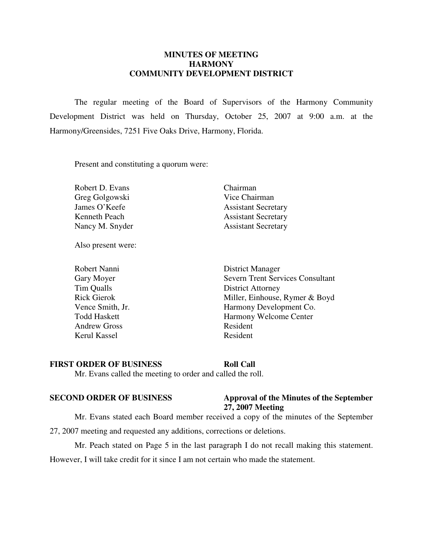#### **MINUTES OF MEETING HARMONY COMMUNITY DEVELOPMENT DISTRICT**

 The regular meeting of the Board of Supervisors of the Harmony Community Development District was held on Thursday, October 25, 2007 at 9:00 a.m. at the Harmony/Greensides, 7251 Five Oaks Drive, Harmony, Florida.

Present and constituting a quorum were:

Robert D. Evans Chairman Greg Golgowski Vice Chairman

Also present were:

Andrew Gross Resident Kerul Kassel Resident

James O'Keefe Assistant Secretary Kenneth Peach Assistant Secretary Nancy M. Snyder Assistant Secretary

 Robert Nanni District Manager Gary Moyer Severn Trent Services Consultant Tim Qualls District Attorney Rick Gierok Miller, Einhouse, Rymer & Boyd Vence Smith, Jr. **Harmony Development Co.** Todd Haskett Harmony Welcome Center

#### **FIRST ORDER OF BUSINESS Roll Call**

Mr. Evans called the meeting to order and called the roll.

#### **SECOND ORDER OF BUSINESS** Approval of the Minutes of the September **27, 2007 Meeting**

 Mr. Evans stated each Board member received a copy of the minutes of the September 27, 2007 meeting and requested any additions, corrections or deletions.

Mr. Peach stated on Page 5 in the last paragraph I do not recall making this statement.

However, I will take credit for it since I am not certain who made the statement.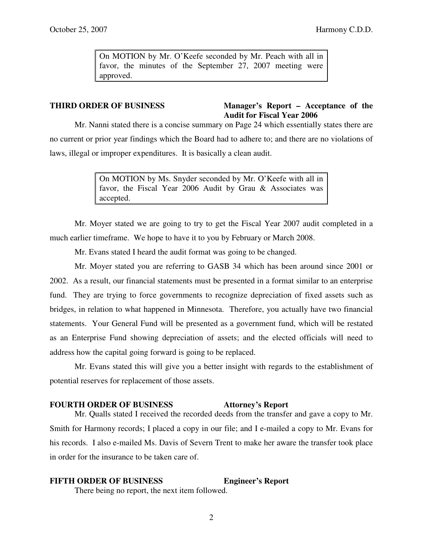On MOTION by Mr. O'Keefe seconded by Mr. Peach with all in favor, the minutes of the September 27, 2007 meeting were approved.

### **THIRD ORDER OF BUSINESS Manager's Report – Acceptance of the Audit for Fiscal Year 2006**

 Mr. Nanni stated there is a concise summary on Page 24 which essentially states there are no current or prior year findings which the Board had to adhere to; and there are no violations of laws, illegal or improper expenditures. It is basically a clean audit.

> On MOTION by Ms. Snyder seconded by Mr. O'Keefe with all in favor, the Fiscal Year 2006 Audit by Grau & Associates was accepted.

 Mr. Moyer stated we are going to try to get the Fiscal Year 2007 audit completed in a much earlier timeframe. We hope to have it to you by February or March 2008.

Mr. Evans stated I heard the audit format was going to be changed.

 Mr. Moyer stated you are referring to GASB 34 which has been around since 2001 or 2002. As a result, our financial statements must be presented in a format similar to an enterprise fund. They are trying to force governments to recognize depreciation of fixed assets such as bridges, in relation to what happened in Minnesota. Therefore, you actually have two financial statements. Your General Fund will be presented as a government fund, which will be restated as an Enterprise Fund showing depreciation of assets; and the elected officials will need to address how the capital going forward is going to be replaced.

 Mr. Evans stated this will give you a better insight with regards to the establishment of potential reserves for replacement of those assets.

## **FOURTH ORDER OF BUSINESS Attorney's Report**

 Mr. Qualls stated I received the recorded deeds from the transfer and gave a copy to Mr. Smith for Harmony records; I placed a copy in our file; and I e-mailed a copy to Mr. Evans for his records. I also e-mailed Ms. Davis of Severn Trent to make her aware the transfer took place in order for the insurance to be taken care of.

### **FIFTH ORDER OF BUSINESS Engineer's Report**

There being no report, the next item followed.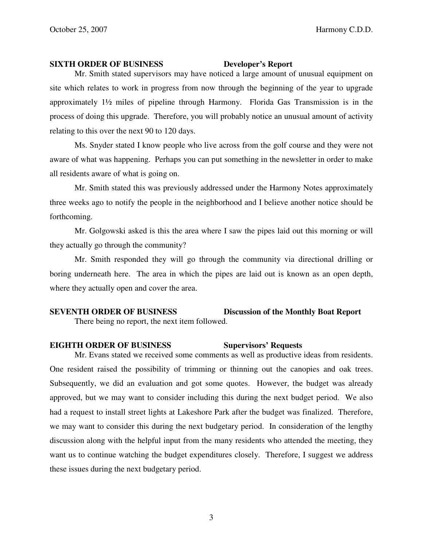#### **SIXTH ORDER OF BUSINESS Developer's Report**

 Mr. Smith stated supervisors may have noticed a large amount of unusual equipment on site which relates to work in progress from now through the beginning of the year to upgrade approximately 1½ miles of pipeline through Harmony. Florida Gas Transmission is in the process of doing this upgrade. Therefore, you will probably notice an unusual amount of activity relating to this over the next 90 to 120 days.

 Ms. Snyder stated I know people who live across from the golf course and they were not aware of what was happening. Perhaps you can put something in the newsletter in order to make all residents aware of what is going on.

 Mr. Smith stated this was previously addressed under the Harmony Notes approximately three weeks ago to notify the people in the neighborhood and I believe another notice should be forthcoming.

 Mr. Golgowski asked is this the area where I saw the pipes laid out this morning or will they actually go through the community?

 Mr. Smith responded they will go through the community via directional drilling or boring underneath here. The area in which the pipes are laid out is known as an open depth, where they actually open and cover the area.

# **SEVENTH ORDER OF BUSINESS Discussion of the Monthly Boat Report**

There being no report, the next item followed.

# **EIGHTH ORDER OF BUSINESS Supervisors' Requests**

 Mr. Evans stated we received some comments as well as productive ideas from residents. One resident raised the possibility of trimming or thinning out the canopies and oak trees. Subsequently, we did an evaluation and got some quotes. However, the budget was already approved, but we may want to consider including this during the next budget period. We also had a request to install street lights at Lakeshore Park after the budget was finalized. Therefore, we may want to consider this during the next budgetary period. In consideration of the lengthy discussion along with the helpful input from the many residents who attended the meeting, they want us to continue watching the budget expenditures closely. Therefore, I suggest we address these issues during the next budgetary period.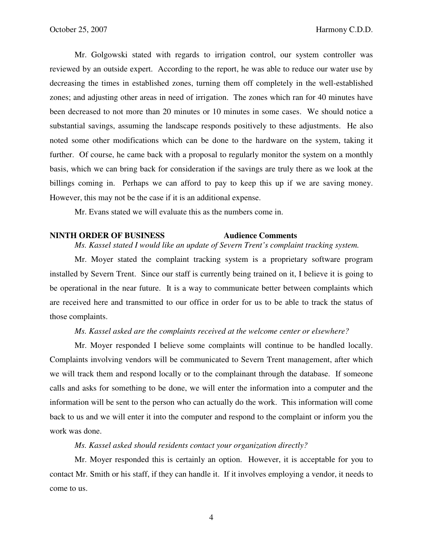Mr. Golgowski stated with regards to irrigation control, our system controller was reviewed by an outside expert. According to the report, he was able to reduce our water use by decreasing the times in established zones, turning them off completely in the well-established zones; and adjusting other areas in need of irrigation. The zones which ran for 40 minutes have been decreased to not more than 20 minutes or 10 minutes in some cases. We should notice a substantial savings, assuming the landscape responds positively to these adjustments. He also noted some other modifications which can be done to the hardware on the system, taking it further. Of course, he came back with a proposal to regularly monitor the system on a monthly basis, which we can bring back for consideration if the savings are truly there as we look at the billings coming in. Perhaps we can afford to pay to keep this up if we are saving money. However, this may not be the case if it is an additional expense.

Mr. Evans stated we will evaluate this as the numbers come in.

#### **NINTH ORDER OF BUSINESS Audience Comments**

 *Ms. Kassel stated I would like an update of Severn Trent's complaint tracking system.* 

 Mr. Moyer stated the complaint tracking system is a proprietary software program installed by Severn Trent. Since our staff is currently being trained on it, I believe it is going to be operational in the near future. It is a way to communicate better between complaints which are received here and transmitted to our office in order for us to be able to track the status of those complaints.

#### *Ms. Kassel asked are the complaints received at the welcome center or elsewhere?*

 Mr. Moyer responded I believe some complaints will continue to be handled locally. Complaints involving vendors will be communicated to Severn Trent management, after which we will track them and respond locally or to the complainant through the database. If someone calls and asks for something to be done, we will enter the information into a computer and the information will be sent to the person who can actually do the work. This information will come back to us and we will enter it into the computer and respond to the complaint or inform you the work was done.

 *Ms. Kassel asked should residents contact your organization directly?* 

 Mr. Moyer responded this is certainly an option. However, it is acceptable for you to contact Mr. Smith or his staff, if they can handle it. If it involves employing a vendor, it needs to come to us.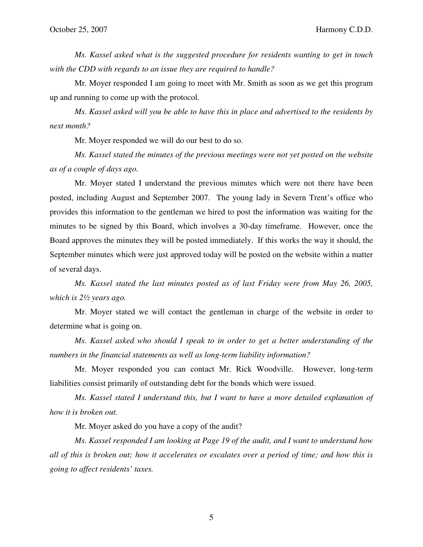*Ms. Kassel asked what is the suggested procedure for residents wanting to get in touch with the CDD with regards to an issue they are required to handle?* 

 Mr. Moyer responded I am going to meet with Mr. Smith as soon as we get this program up and running to come up with the protocol.

 *Ms. Kassel asked will you be able to have this in place and advertised to the residents by next month?* 

Mr. Moyer responded we will do our best to do so.

 *Ms. Kassel stated the minutes of the previous meetings were not yet posted on the website as of a couple of days ago.* 

 Mr. Moyer stated I understand the previous minutes which were not there have been posted, including August and September 2007. The young lady in Severn Trent's office who provides this information to the gentleman we hired to post the information was waiting for the minutes to be signed by this Board, which involves a 30-day timeframe. However, once the Board approves the minutes they will be posted immediately. If this works the way it should, the September minutes which were just approved today will be posted on the website within a matter of several days.

 *Ms. Kassel stated the last minutes posted as of last Friday were from May 26, 2005, which is 2½ years ago.* 

 Mr. Moyer stated we will contact the gentleman in charge of the website in order to determine what is going on.

 *Ms. Kassel asked who should I speak to in order to get a better understanding of the numbers in the financial statements as well as long-term liability information?* 

 Mr. Moyer responded you can contact Mr. Rick Woodville. However, long-term liabilities consist primarily of outstanding debt for the bonds which were issued.

 *Ms. Kassel stated I understand this, but I want to have a more detailed explanation of how it is broken out.* 

Mr. Moyer asked do you have a copy of the audit?

 *Ms. Kassel responded I am looking at Page 19 of the audit, and I want to understand how all of this is broken out; how it accelerates or escalates over a period of time; and how this is going to affect residents' taxes.* 

5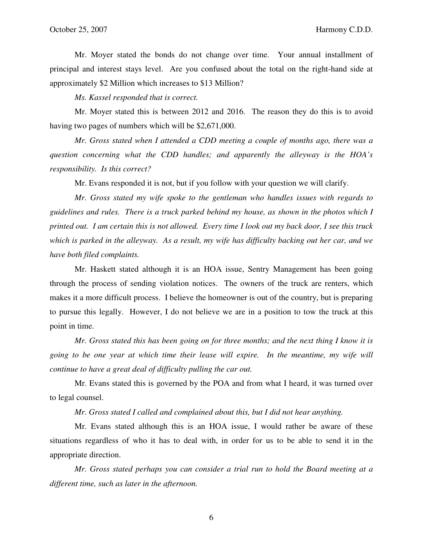Mr. Moyer stated the bonds do not change over time. Your annual installment of principal and interest stays level. Are you confused about the total on the right-hand side at approximately \$2 Million which increases to \$13 Million?

 *Ms. Kassel responded that is correct.* 

 Mr. Moyer stated this is between 2012 and 2016. The reason they do this is to avoid having two pages of numbers which will be \$2,671,000.

 *Mr. Gross stated when I attended a CDD meeting a couple of months ago, there was a question concerning what the CDD handles; and apparently the alleyway is the HOA's responsibility. Is this correct?* 

Mr. Evans responded it is not, but if you follow with your question we will clarify.

 *Mr. Gross stated my wife spoke to the gentleman who handles issues with regards to guidelines and rules. There is a truck parked behind my house, as shown in the photos which I printed out. I am certain this is not allowed. Every time I look out my back door, I see this truck which is parked in the alleyway. As a result, my wife has difficulty backing out her car, and we have both filed complaints.* 

 Mr. Haskett stated although it is an HOA issue, Sentry Management has been going through the process of sending violation notices. The owners of the truck are renters, which makes it a more difficult process. I believe the homeowner is out of the country, but is preparing to pursue this legally. However, I do not believe we are in a position to tow the truck at this point in time.

 *Mr. Gross stated this has been going on for three months; and the next thing I know it is going to be one year at which time their lease will expire. In the meantime, my wife will continue to have a great deal of difficulty pulling the car out.* 

 Mr. Evans stated this is governed by the POA and from what I heard, it was turned over to legal counsel.

 *Mr. Gross stated I called and complained about this, but I did not hear anything.* 

 Mr. Evans stated although this is an HOA issue, I would rather be aware of these situations regardless of who it has to deal with, in order for us to be able to send it in the appropriate direction.

 *Mr. Gross stated perhaps you can consider a trial run to hold the Board meeting at a different time, such as later in the afternoon.* 

6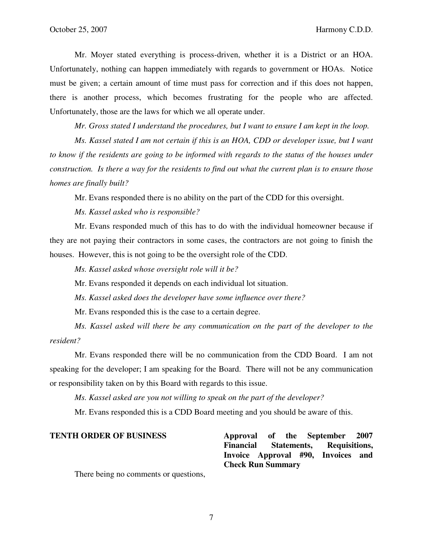Mr. Moyer stated everything is process-driven, whether it is a District or an HOA. Unfortunately, nothing can happen immediately with regards to government or HOAs. Notice must be given; a certain amount of time must pass for correction and if this does not happen, there is another process, which becomes frustrating for the people who are affected. Unfortunately, those are the laws for which we all operate under.

 *Mr. Gross stated I understand the procedures, but I want to ensure I am kept in the loop.* 

 *Ms. Kassel stated I am not certain if this is an HOA, CDD or developer issue, but I want to know if the residents are going to be informed with regards to the status of the houses under construction. Is there a way for the residents to find out what the current plan is to ensure those homes are finally built?* 

Mr. Evans responded there is no ability on the part of the CDD for this oversight.

 *Ms. Kassel asked who is responsible?* 

 Mr. Evans responded much of this has to do with the individual homeowner because if they are not paying their contractors in some cases, the contractors are not going to finish the houses. However, this is not going to be the oversight role of the CDD.

*Ms. Kassel asked whose oversight role will it be?* 

Mr. Evans responded it depends on each individual lot situation.

 *Ms. Kassel asked does the developer have some influence over there?* 

Mr. Evans responded this is the case to a certain degree.

 *Ms. Kassel asked will there be any communication on the part of the developer to the resident?* 

 Mr. Evans responded there will be no communication from the CDD Board. I am not speaking for the developer; I am speaking for the Board. There will not be any communication or responsibility taken on by this Board with regards to this issue.

*Ms. Kassel asked are you not willing to speak on the part of the developer?* 

Mr. Evans responded this is a CDD Board meeting and you should be aware of this.

| <b>TENTH ORDER OF BUSINESS</b>        |                                     |  |  |  | Approval of the September 2007     |  |  |
|---------------------------------------|-------------------------------------|--|--|--|------------------------------------|--|--|
|                                       | Financial Statements, Requisitions, |  |  |  |                                    |  |  |
|                                       |                                     |  |  |  | Invoice Approval #90, Invoices and |  |  |
|                                       | <b>Check Run Summary</b>            |  |  |  |                                    |  |  |
| There being no comments or questions. |                                     |  |  |  |                                    |  |  |

ere being no comments or questions,